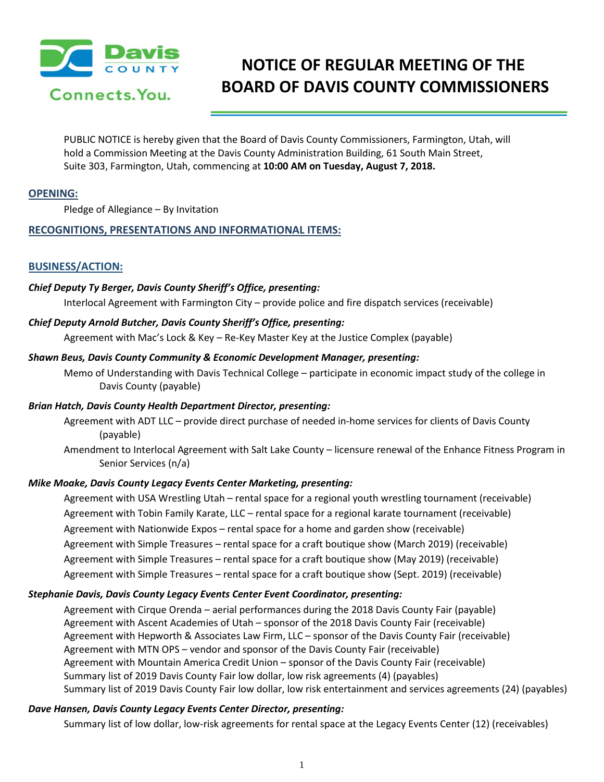

# **NOTICE OF REGULAR MEETING OF THE BOARD OF DAVIS COUNTY COMMISSIONERS**

PUBLIC NOTICE is hereby given that the Board of Davis County Commissioners, Farmington, Utah, will hold a Commission Meeting at the Davis County Administration Building, 61 South Main Street, Suite 303, Farmington, Utah, commencing at **10:00 AM on Tuesday, August 7, 2018.**

## **OPENING:**

Pledge of Allegiance – By Invitation

# **RECOGNITIONS, PRESENTATIONS AND INFORMATIONAL ITEMS:**

## **BUSINESS/ACTION:**

## *Chief Deputy Ty Berger, Davis County Sheriff's Office, presenting:*

Interlocal Agreement with Farmington City – provide police and fire dispatch services (receivable)

#### *Chief Deputy Arnold Butcher, Davis County Sheriff's Office, presenting:*

Agreement with Mac's Lock & Key – Re-Key Master Key at the Justice Complex (payable)

#### *Shawn Beus, Davis County Community & Economic Development Manager, presenting:*

Memo of Understanding with Davis Technical College – participate in economic impact study of the college in Davis County (payable)

#### *Brian Hatch, Davis County Health Department Director, presenting:*

Agreement with ADT LLC – provide direct purchase of needed in-home services for clients of Davis County (payable)

Amendment to Interlocal Agreement with Salt Lake County – licensure renewal of the Enhance Fitness Program in Senior Services (n/a)

# *Mike Moake, Davis County Legacy Events Center Marketing, presenting:*

Agreement with USA Wrestling Utah – rental space for a regional youth wrestling tournament (receivable) Agreement with Tobin Family Karate, LLC – rental space for a regional karate tournament (receivable) Agreement with Nationwide Expos – rental space for a home and garden show (receivable) Agreement with Simple Treasures – rental space for a craft boutique show (March 2019) (receivable) Agreement with Simple Treasures – rental space for a craft boutique show (May 2019) (receivable) Agreement with Simple Treasures – rental space for a craft boutique show (Sept. 2019) (receivable)

# *Stephanie Davis, Davis County Legacy Events Center Event Coordinator, presenting:*

Agreement with Cirque Orenda – aerial performances during the 2018 Davis County Fair (payable) Agreement with Ascent Academies of Utah – sponsor of the 2018 Davis County Fair (receivable) Agreement with Hepworth & Associates Law Firm, LLC – sponsor of the Davis County Fair (receivable) Agreement with MTN OPS – vendor and sponsor of the Davis County Fair (receivable) Agreement with Mountain America Credit Union – sponsor of the Davis County Fair (receivable) Summary list of 2019 Davis County Fair low dollar, low risk agreements (4) (payables) Summary list of 2019 Davis County Fair low dollar, low risk entertainment and services agreements (24) (payables)

# *Dave Hansen, Davis County Legacy Events Center Director, presenting:*

Summary list of low dollar, low-risk agreements for rental space at the Legacy Events Center (12) (receivables)